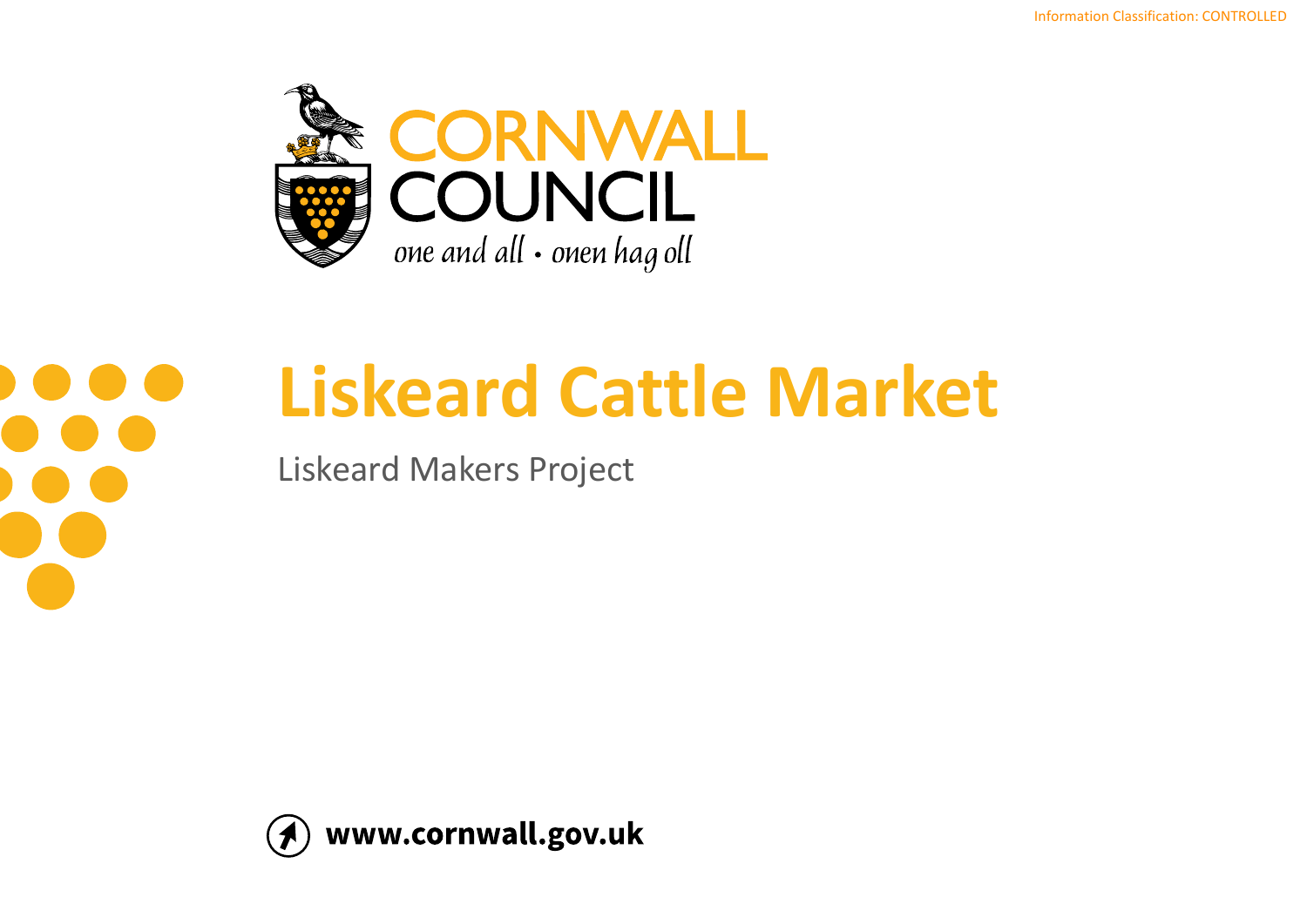



# **Liskeard Cattle Market**

Liskeard Makers Project

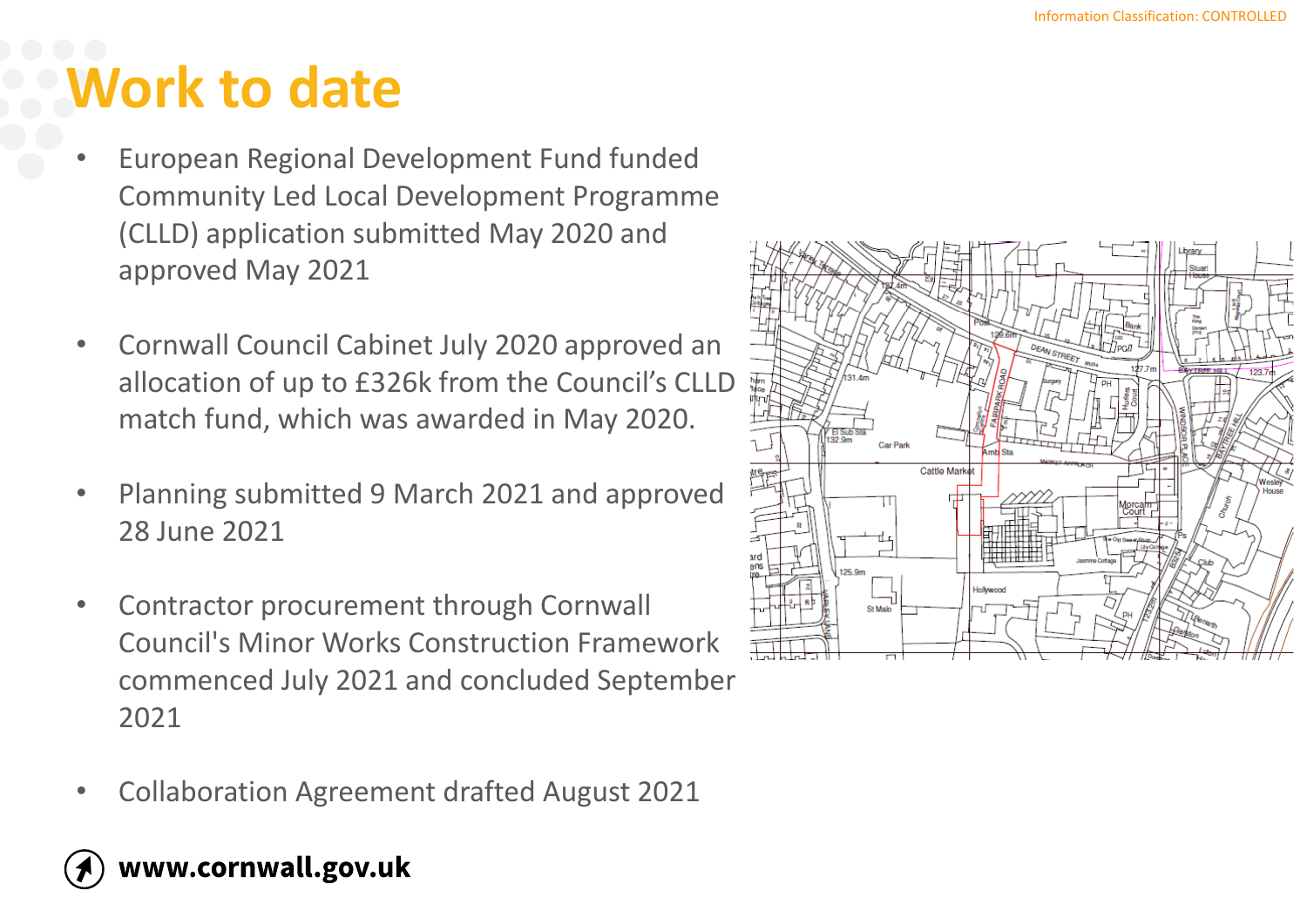## **Work to date**

- European Regional Development Fund funded Community Led Local Development Programme (CLLD) application submitted May 2020 and approved May 2021
- Cornwall Council Cabinet July 2020 approved an allocation of up to £326k from the Council's CLLD match fund, which was awarded in May 2020.
- Planning submitted 9 March 2021 and approved 28 June 2021
- Contractor procurement through Cornwall Council's Minor Works Construction Framework commenced July 2021 and concluded September 2021
- Collaboration Agreement drafted August 2021



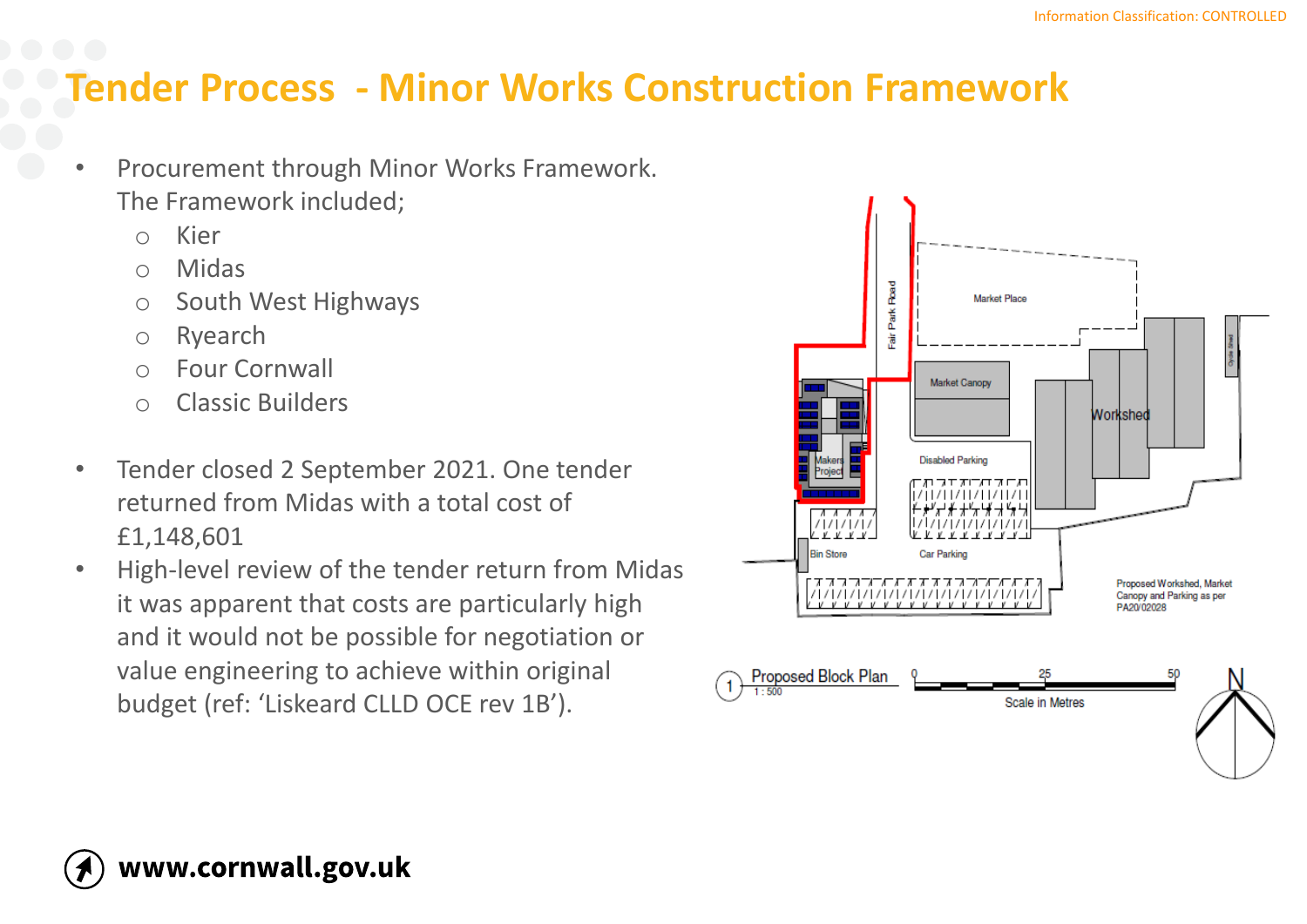## **Tender Process - Minor Works Construction Framework**

- Procurement through Minor Works Framework. The Framework included;
	- o Kier
	- o Midas
	- o South West Highways
	- o Ryearch
	- o Four Cornwall
	- o Classic Builders
- Tender closed 2 September 2021. One tender returned from Midas with a total cost of £1,148,601
- High-level review of the tender return from Midas it was apparent that costs are particularly high and it would not be possible for negotiation or value engineering to achieve within original budget (ref: 'Liskeard CLLD OCE rev 1B').

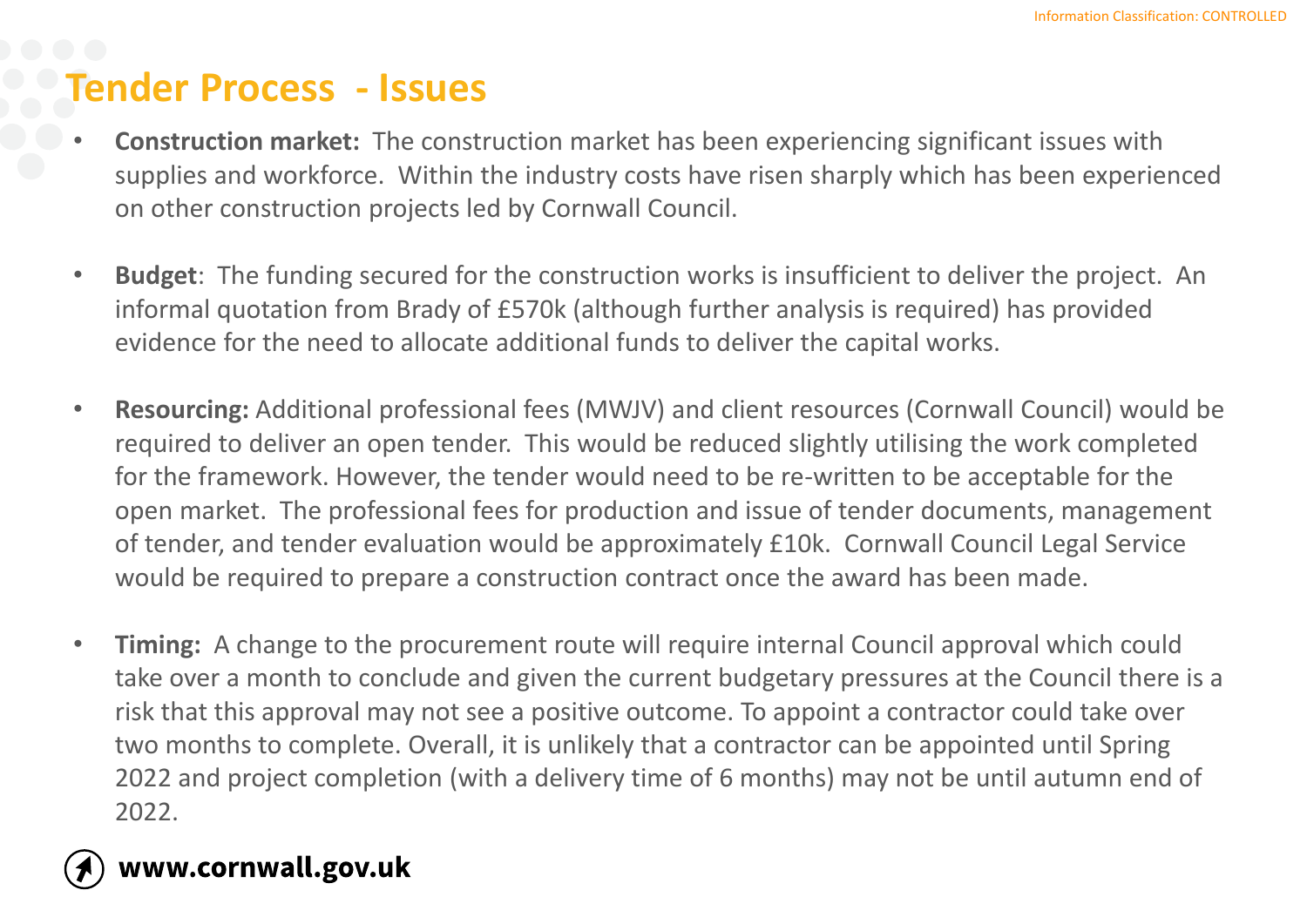### **Tender Process - Issues**

- **Construction market:** The construction market has been experiencing significant issues with supplies and workforce. Within the industry costs have risen sharply which has been experienced on other construction projects led by Cornwall Council.
- **Budget**: The funding secured for the construction works is insufficient to deliver the project. An informal quotation from Brady of £570k (although further analysis is required) has provided evidence for the need to allocate additional funds to deliver the capital works.
- **Resourcing:** Additional professional fees (MWJV) and client resources (Cornwall Council) would be required to deliver an open tender. This would be reduced slightly utilising the work completed for the framework. However, the tender would need to be re-written to be acceptable for the open market. The professional fees for production and issue of tender documents, management of tender, and tender evaluation would be approximately £10k. Cornwall Council Legal Service would be required to prepare a construction contract once the award has been made.
- **Timing:** A change to the procurement route will require internal Council approval which could take over a month to conclude and given the current budgetary pressures at the Council there is a risk that this approval may not see a positive outcome. To appoint a contractor could take over two months to complete. Overall, it is unlikely that a contractor can be appointed until Spring 2022 and project completion (with a delivery time of 6 months) may not be until autumn end of 2022.

### www.cornwall.gov.uk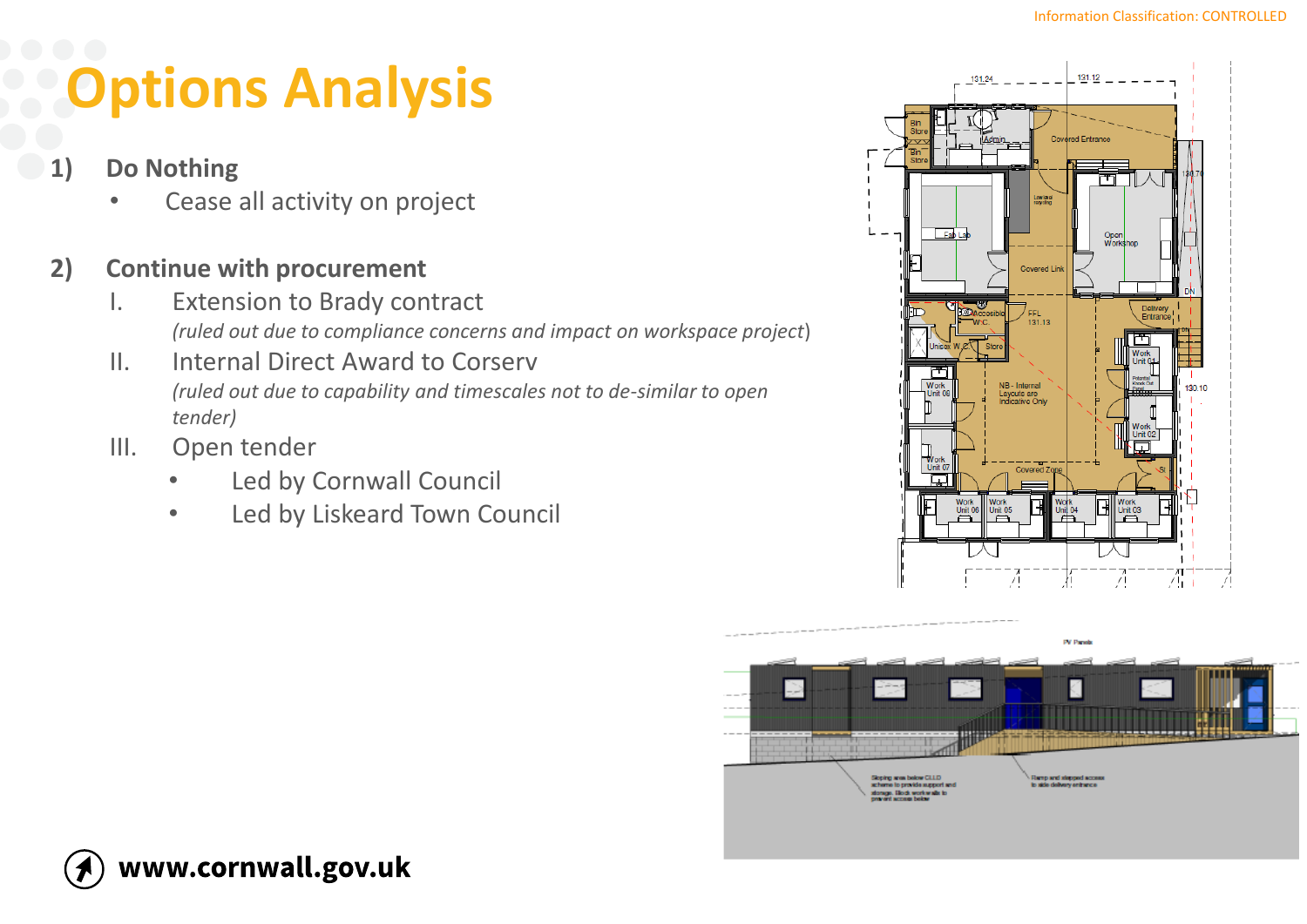## **Options Analysis**

- **1) Do Nothing**
	- Cease all activity on project

#### **2) Continue with procurement**

- I. Extension to Brady contract *(ruled out due to compliance concerns and impact on workspace project*)
- II. Internal Direct Award to Corserv *(ruled out due to capability and timescales not to de-similar to open tender)*
- III. Open tender
	- Led by Cornwall Council
	- Led by Liskeard Town Council





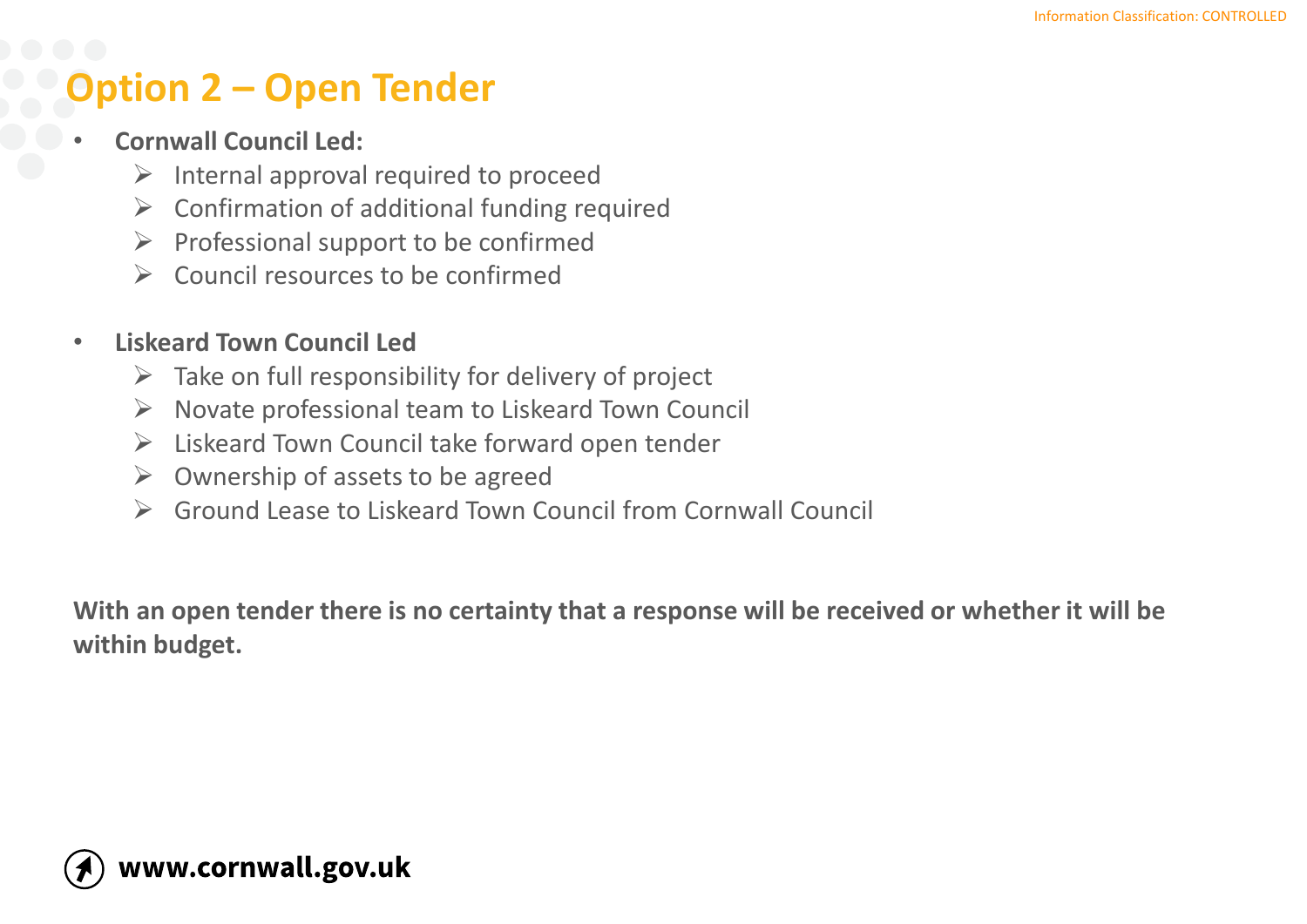## **Option 2 – Open Tender**

- **Cornwall Council Led:** 
	- $\triangleright$  Internal approval required to proceed
	- $\triangleright$  Confirmation of additional funding required
	- $\triangleright$  Professional support to be confirmed
	- $\triangleright$  Council resources to be confirmed

#### • **Liskeard Town Council Led**

- $\triangleright$  Take on full responsibility for delivery of project
- $\triangleright$  Novate professional team to Liskeard Town Council
- ➢ Liskeard Town Council take forward open tender
- $\triangleright$  Ownership of assets to be agreed
- ➢ Ground Lease to Liskeard Town Council from Cornwall Council

**With an open tender there is no certainty that a response will be received or whether it will be within budget.**